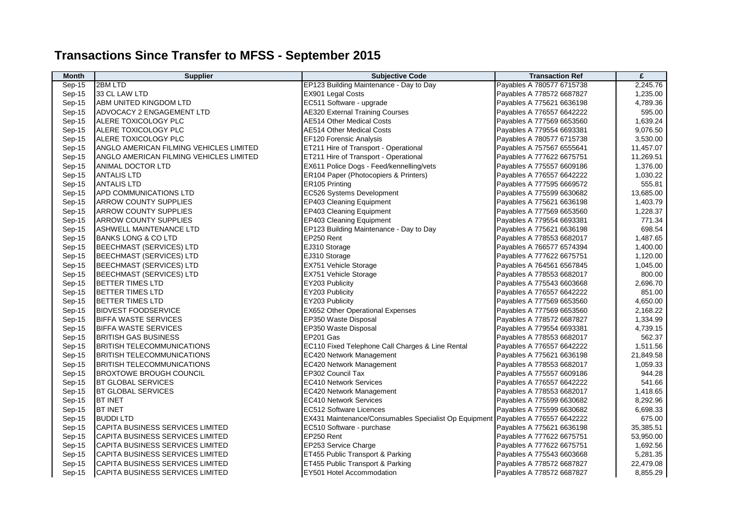## **Transactions Since Transfer to MFSS - September 2015**

| <b>Month</b> | <b>Supplier</b>                         | <b>Subjective Code</b>                                | <b>Transaction Ref</b>    | £         |
|--------------|-----------------------------------------|-------------------------------------------------------|---------------------------|-----------|
| Sep-15       | 2BM LTD                                 | EP123 Building Maintenance - Day to Day               | Payables A 780577 6715738 | 2,245.76  |
| Sep-15       | 33 CL LAW LTD                           | <b>EX901 Legal Costs</b>                              | Payables A 778572 6687827 | 1,235.00  |
| Sep-15       | ABM UNITED KINGDOM LTD                  | EC511 Software - upgrade                              | Payables A 775621 6636198 | 4,789.36  |
| Sep-15       | ADVOCACY 2 ENGAGEMENT LTD               | <b>AE320 External Training Courses</b>                | Payables A 776557 6642222 | 595.00    |
| Sep-15       | ALERE TOXICOLOGY PLC                    | <b>AE514 Other Medical Costs</b>                      | Payables A 777569 6653560 | 1,639.24  |
| Sep-15       | ALERE TOXICOLOGY PLC                    | <b>AE514 Other Medical Costs</b>                      | Payables A 779554 6693381 | 9,076.50  |
| Sep-15       | ALERE TOXICOLOGY PLC                    | EF120 Forensic Analysis                               | Payables A 780577 6715738 | 3,530.00  |
| Sep-15       | ANGLO AMERICAN FILMING VEHICLES LIMITED | ET211 Hire of Transport - Operational                 | Payables A 757567 6555641 | 11,457.07 |
| Sep-15       | ANGLO AMERICAN FILMING VEHICLES LIMITED | ET211 Hire of Transport - Operational                 | Payables A 777622 6675751 | 11,269.51 |
| Sep-15       | ANIMAL DOCTOR LTD                       | EX611 Police Dogs - Feed/kennelling/vets              | Payables A 775557 6609186 | 1,376.00  |
| Sep-15       | <b>ANTALIS LTD</b>                      | ER104 Paper (Photocopiers & Printers)                 | Payables A 776557 6642222 | 1,030.22  |
| Sep-15       | <b>ANTALIS LTD</b>                      | ER105 Printing                                        | Payables A 777595 6669572 | 555.81    |
| Sep-15       | APD COMMUNICATIONS LTD                  | EC526 Systems Development                             | Payables A 775599 6630682 | 13,685.00 |
| Sep-15       | <b>ARROW COUNTY SUPPLIES</b>            | EP403 Cleaning Equipment                              | Payables A 775621 6636198 | 1,403.79  |
| Sep-15       | <b>ARROW COUNTY SUPPLIES</b>            | EP403 Cleaning Equipment                              | Payables A 777569 6653560 | 1,228.37  |
| Sep-15       | <b>ARROW COUNTY SUPPLIES</b>            | EP403 Cleaning Equipment                              | Payables A 779554 6693381 | 771.34    |
| Sep-15       | <b>ASHWELL MAINTENANCE LTD</b>          | EP123 Building Maintenance - Day to Day               | Payables A 775621 6636198 | 698.54    |
| Sep-15       | <b>BANKS LONG &amp; CO LTD</b>          | EP250 Rent                                            | Payables A 778553 6682017 | 1,487.65  |
| Sep-15       | BEECHMAST (SERVICES) LTD                | EJ310 Storage                                         | Payables A 766577 6574394 | 1,400.00  |
| Sep-15       | <b>BEECHMAST (SERVICES) LTD</b>         | EJ310 Storage                                         | Payables A 777622 6675751 | 1,120.00  |
| Sep-15       | <b>BEECHMAST (SERVICES) LTD</b>         | EX751 Vehicle Storage                                 | Payables A 764561 6567845 | 1,045.00  |
| Sep-15       | <b>BEECHMAST (SERVICES) LTD</b>         | <b>EX751 Vehicle Storage</b>                          | Payables A 778553 6682017 | 800.00    |
| Sep-15       | <b>BETTER TIMES LTD</b>                 | EY203 Publicity                                       | Payables A 775543 6603668 | 2,696.70  |
| Sep-15       | <b>BETTER TIMES LTD</b>                 | EY203 Publicity                                       | Payables A 776557 6642222 | 851.00    |
| Sep-15       | <b>BETTER TIMES LTD</b>                 | EY203 Publicity                                       | Payables A 777569 6653560 | 4,650.00  |
| Sep-15       | <b>BIDVEST FOODSERVICE</b>              | <b>EX652 Other Operational Expenses</b>               | Payables A 777569 6653560 | 2,168.22  |
| Sep-15       | <b>BIFFA WASTE SERVICES</b>             | EP350 Waste Disposal                                  | Payables A 778572 6687827 | 1,334.99  |
| Sep-15       | <b>BIFFA WASTE SERVICES</b>             | EP350 Waste Disposal                                  | Payables A 779554 6693381 | 4,739.15  |
| Sep-15       | <b>BRITISH GAS BUSINESS</b>             | EP201 Gas                                             | Payables A 778553 6682017 | 562.37    |
| Sep-15       | <b>BRITISH TELECOMMUNICATIONS</b>       | EC110 Fixed Telephone Call Charges & Line Rental      | Payables A 776557 6642222 | 1,511.56  |
| Sep-15       | <b>BRITISH TELECOMMUNICATIONS</b>       | <b>EC420 Network Management</b>                       | Payables A 775621 6636198 | 21,849.58 |
| Sep-15       | <b>BRITISH TELECOMMUNICATIONS</b>       | EC420 Network Management                              | Payables A 778553 6682017 | 1,059.33  |
| Sep-15       | <b>BROXTOWE BROUGH COUNCIL</b>          | EP302 Council Tax                                     | Payables A 775557 6609186 | 944.28    |
| Sep-15       | <b>BT GLOBAL SERVICES</b>               | <b>EC410 Network Services</b>                         | Payables A 776557 6642222 | 541.66    |
| Sep-15       | <b>BT GLOBAL SERVICES</b>               | <b>EC420 Network Management</b>                       | Payables A 778553 6682017 | 1,418.65  |
| Sep-15       | <b>BT INET</b>                          | <b>EC410 Network Services</b>                         | Payables A 775599 6630682 | 8,292.96  |
| Sep-15       | <b>BT INET</b>                          | EC512 Software Licences                               | Payables A 775599 6630682 | 6,698.33  |
| Sep-15       | <b>BUDDILTD</b>                         | EX431 Maintenance/Consumables Specialist Op Equipment | Payables A 776557 6642222 | 675.00    |
| Sep-15       | CAPITA BUSINESS SERVICES LIMITED        | EC510 Software - purchase                             | Payables A 775621 6636198 | 35,385.51 |
| Sep-15       | CAPITA BUSINESS SERVICES LIMITED        | EP250 Rent                                            | Payables A 777622 6675751 | 53,950.00 |
| Sep-15       | CAPITA BUSINESS SERVICES LIMITED        | EP253 Service Charge                                  | Payables A 777622 6675751 | 1,692.56  |
| Sep-15       | CAPITA BUSINESS SERVICES LIMITED        | ET455 Public Transport & Parking                      | Payables A 775543 6603668 | 5,281.35  |
| $Sep-15$     | ICAPITA BUSINESS SERVICES LIMITED       | ET455 Public Transport & Parking                      | Payables A 778572 6687827 | 22,479.08 |
| Sep-15       | CAPITA BUSINESS SERVICES LIMITED        | EY501 Hotel Accommodation                             | Payables A 778572 6687827 | 8,855.29  |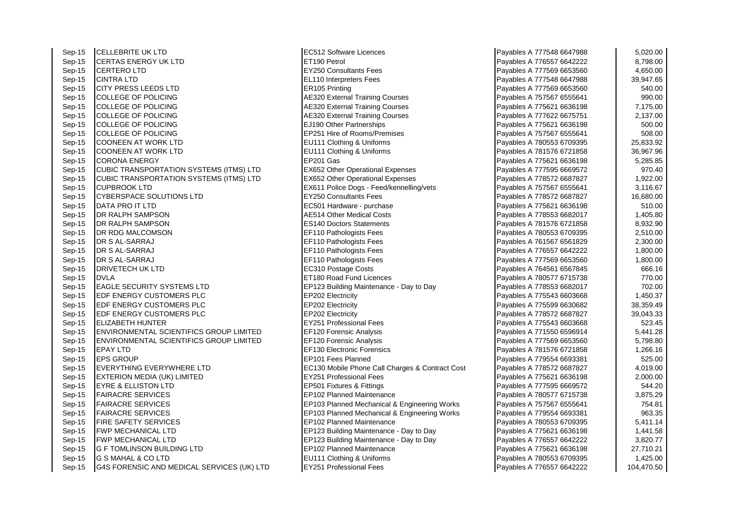Sep-15 CELLEBRITE UK LTD EC512 Software Licences Payables A 777548 6647988 5,020.00 Sep-15 CERTAS ENERGY UK LTD<br>Sep-15 CERTERO LTD EX250 Consultants Fees Sep-15 CERTERO LTD EY250 Consultants Fees Payables A 777569 6653560 4,650.00 Sep-15 CINTRA LTD EL110 Interpreters Fees Payables A 777548 6647988 39,947.65 Sep-15 CITY PRESS LEEDS LTD<br>
Sep-15 COLLEGE OF POLICING PAYABLES A 77569 665320 External Sep-15 COLLEGE OF POLICING AT The Sep-15 AE320 External Training Courses Sep-15 COLLEGE OF POLICING AE320 External Training Courses Sep-15 COLLEGE OF POLICING AE320 External Training Courses Sep-15 COLLEGE OF POLICING EJ190 Other Partnerships Payables A 775621 663621 663621 663621 676621 67 Sep-15 COLLEGE OF POLICING **EP251** Hire of Rooms/Premises Sep-15 COONEEN AT WORK LTD EU111 Clothing & Uniforms Sep-15 COONEEN AT WORK LTD EU111 Clothing & Uniforms Payables A 761576 67216 6721576 6721576 672156 6721576 67<br>Sep-15 CORONA FNERGY Sep-15 CORONA ENERGY EP201 Gas Payables A 775621 6636198 5,285.85 Sep-15 CUBIC TRANSPORTATION SYSTEMS (ITMS) LTD EX652 Other Operational Expenses Sep-15 CUBIC TRANSPORTATION SYSTEMS (ITMS) LTD EX652 Other Operational Expenses<br>Sep-15 CUPBROOK I TD Sep-15 CUPBROOK LTD EX611 Police Dogs - Feed/kennelling/vets Sep-15 CYBERSPACE SOLUTIONS LTD EY250 Consultants Fees Sep-15 DATA PRO IT LTD<br>
Sep-15 DR RALPH SAMPSON<br>
A 7756214 Other Medical Costs Sep-15 DR RALPH SAMPSON AES14 Other Medical Costs Payables A 778553 6682017 1,405.9055 Sep-15 DR RALPH SAMPSON ES140 Doctors Statements Sep-15 DR RDG MALCOMSON EXAMPLE THE SEPTEMBER OF RESERVE THE SEPTEMBER OF RESERVE THE SEPTEMBER OF RESERVE THE Sep-15 DR S AL-SARRAJ EF110 Pathologists Fees Sep-15 DR S AL-SARRAJ EF110 Pathologists Fees<br>Sep-15 DR S AL-SARRAJ EF110 Pathologists Fees Sep-15 DR S AL-SARRAJ EF110 Pathologists Fees Sep-15 |DRIVETECH UK LTD |EC310 Postage Costs 666.16 666.16 Sep-15 DVLA **EXECUTE:** POVLA Sep-15 EAGLE SECURITY SYSTEMS LTD EP123 Building Maintenance - Day to Day Sep-15 EDF ENERGY CUSTOMERS PLC<br>
Sep-15 EDF ENERGY CUSTOMERS PLC<br>
EP202 Electricity Sep-15 **EDF ENERGY CUSTOMERS PLC** Sep-15 EDF ENERGY CUSTOMERS PLC<br>
Sep-15 FLIZABETH HUNTER<br>
FY251 Professional Fees Sep-15 ELIZABETH HUNTER EY251 Professional Fees Payables A 775543 6603668 523.45 Sep-15 **ENVIRONMENTAL SCIENTIFICS GROUP LIMITED** EF120 Forensic Analysis Sep-15 **ENVIRONMENTAL SCIENTIFICS GROUP LIMITED EF120 Forensic Analysis** Sep-15 EPAY LTD EF130 Electronic Forensics Sep-15 EPS GROUP EP101 Fees Planned Payables A 779554 6693381 525.00 Sep-15 EVERYTHING EVERYWHERE LTD EC130 Mobile Phone Call Charges & Contract Cost Sep-15 EXTERION MEDIA (UK) LIMITED EXAMPLE RESERVES RESERVES PROFESSIONAL Fees Sep-15 EYRE & ELLISTON LTD EP501 Fixtures & Fittings Sep-15 FAIRACRE SERVICES EP102 Planned Maintenance Sep-15 FAIRACRE SERVICES ERRES ERRES ERRES ENGINEERING ENGINEERING ENGINEERING ENGINEERING ASSALTS A 757567 65<br>EP103 Planned Mechanical & Engineering Works Payables A 757567 6567 6567 6567 6567 65667 65667 65667 65667 656 Sep-15 FAIRACRE SERVICES ERRES ERGENTIES ENGINEERING EP103 Planned Mechanical & Engineering Works Sep-15 FIRE SAFETY SERVICES EP102 Planned Maintenance Sep-15 FWP MECHANICAL LTD **EP123** Building Maintenance - Day to Day Sep-15 FWP MECHANICAL LTD EP123 Building Maintenance - Day to Day Sep-15 G F TOMLINSON BUILDING LTD **EP102 Planned Maintenance** Sep-15 G S MAHAL & CO LTD EU111 Clothing & Uniforms Sep-15 G4S FORENSIC AND MEDICAL SERVICES (UK) LTD EY251 Professional Fees

| Payables A 777548 6647988                              | 5,020.00             |
|--------------------------------------------------------|----------------------|
| Payables A 776557 6642222                              | 8,798.00             |
| Payables A 777569 6653560                              | 4,650.00             |
| Payables A 777548 6647988                              | 39,947.65            |
| Payables A 777569 6653560                              | 540.00               |
| Payables A 757567 6555641                              | 990.00               |
| Payables A 775621 6636198                              | 7,175.00             |
| Payables A 777622 6675751                              | 2,137.00             |
| Payables A 775621 6636198                              | 500.00               |
| Payables A 757567 6555641                              | 508.00               |
| Payables A 780553 6709395                              | 25,833.92            |
| Payables A 781576 6721858                              | 36,967.96            |
| Payables A 775621 6636198                              | 5,285.85             |
| Payables A 777595 6669572                              | 970.40               |
| Payables A 778572 6687827                              | 1,922.00             |
| Payables A 757567 6555641                              | 3,116.67             |
| Payables A 778572 6687827                              | 16,680.00            |
| Payables A 775621 6636198                              | 510.00               |
| Payables A 778553 6682017                              | 1,405.80             |
| Payables A 781576 6721858                              | 8,932.90             |
| Payables A 780553 6709395                              | 2,510.00             |
| Payables A 761567 6561829                              | 2,300.00             |
| Payables A 776557 6642222                              | 1,800.00             |
| Payables A 777569 6653560                              | 1,800.00             |
| Payables A 764561 6567845                              | 666.16               |
| Payables A 780577 6715738                              | 770.00               |
| Payables A 778553 6682017                              | 702.00               |
| Payables A 775543 6603668                              | 1,450.37             |
| Payables A 775599 6630682                              | 38,359.49            |
| Payables A 778572 6687827                              | 39,043.33            |
| Payables A 775543 6603668<br>Payables A 771550 6596914 | 523.45<br>5,441.28   |
| Payables A 777569 6653560                              |                      |
| Payables A 781576 6721858                              | 5,798.80<br>1,266.16 |
| Payables A 779554 6693381                              | 525.00               |
| Payables A 778572 6687827                              | 4,019.00             |
| Payables A 775621 6636198                              | 2,000.00             |
| Payables A 777595 6669572                              | 544.20               |
| Payables A 780577 6715738                              | 3,875.29             |
| Payables A 757567 6555641                              | 754.81               |
| Payables A 779554 6693381                              | 963.35               |
| Payables A 780553 6709395                              | 5,411.14             |
| Payables A 775621 6636198                              | 1,441.58             |
| Payables A 776557 6642222                              | 3,820.77             |
| Payables A 775621 6636198                              | 27,710.21            |
| Payables A 780553 6709395                              | 1,425.00             |
| Pavables A 776557 6642222                              | 104.470.50           |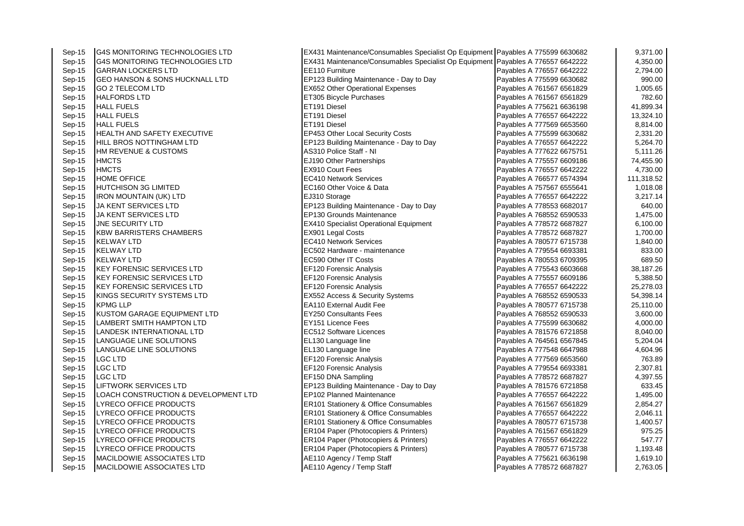| Sep-15   | <b>G4S MONITORING TECHNOLOGIES LTD</b>    | EX431 Maintenance/Consumables Specialist Op Equipment Payables A 775599 6630682 |                           | 9,371.00   |
|----------|-------------------------------------------|---------------------------------------------------------------------------------|---------------------------|------------|
| $Sep-15$ | G4S MONITORING TECHNOLOGIES LTD           | EX431 Maintenance/Consumables Specialist Op Equipment Payables A 776557 6642222 |                           | 4,350.00   |
| $Sep-15$ | <b>GARRAN LOCKERS LTD</b>                 | EE110 Furniture                                                                 | Payables A 776557 6642222 | 2,794.00   |
| $Sep-15$ | <b>GEO HANSON &amp; SONS HUCKNALL LTD</b> | EP123 Building Maintenance - Day to Day                                         | Payables A 775599 6630682 | 990.00     |
| Sep-15   | <b>GO 2 TELECOM LTD</b>                   | <b>EX652 Other Operational Expenses</b>                                         | Payables A 761567 6561829 | 1,005.65   |
| Sep-15   | <b>HALFORDS LTD</b>                       | ET305 Bicycle Purchases                                                         | Payables A 761567 6561829 | 782.60     |
| $Sep-15$ | <b>HALL FUELS</b>                         | ET191 Diesel                                                                    | Payables A 775621 6636198 | 41,899.34  |
| $Sep-15$ | <b>HALL FUELS</b>                         | ET191 Diesel                                                                    | Payables A 776557 6642222 | 13,324.10  |
| $Sep-15$ | <b>HALL FUELS</b>                         | ET191 Diesel                                                                    | Payables A 777569 6653560 | 8,814.00   |
| Sep-15   | HEALTH AND SAFETY EXECUTIVE               | EP453 Other Local Security Costs                                                | Payables A 775599 6630682 | 2,331.20   |
| Sep-15   | HILL BROS NOTTINGHAM LTD                  | EP123 Building Maintenance - Day to Day                                         | Payables A 776557 6642222 | 5,264.70   |
| Sep-15   | <b>HM REVENUE &amp; CUSTOMS</b>           | AS310 Police Staff - NI                                                         | Payables A 777622 6675751 | 5,111.26   |
| Sep-15   | <b>HMCTS</b>                              | EJ190 Other Partnerships                                                        | Payables A 775557 6609186 | 74,455.90  |
| $Sep-15$ | <b>HMCTS</b>                              | EX910 Court Fees                                                                | Payables A 776557 6642222 | 4,730.00   |
| Sep-15   | <b>HOME OFFICE</b>                        | <b>EC410 Network Services</b>                                                   | Payables A 766577 6574394 | 111,318.52 |
| Sep-15   | <b>HUTCHISON 3G LIMITED</b>               | EC160 Other Voice & Data                                                        | Payables A 757567 6555641 | 1,018.08   |
| Sep-15   | <b>IRON MOUNTAIN (UK) LTD</b>             | EJ310 Storage                                                                   | Payables A 776557 6642222 | 3,217.14   |
| Sep-15   | JA KENT SERVICES LTD                      | EP123 Building Maintenance - Day to Day                                         | Payables A 778553 6682017 | 640.00     |
| Sep-15   | <b>JA KENT SERVICES LTD</b>               | EP130 Grounds Maintenance                                                       | Payables A 768552 6590533 | 1,475.00   |
| $Sep-15$ | <b>JNE SECURITY LTD</b>                   | <b>EX410 Specialist Operational Equipment</b>                                   | Payables A 778572 6687827 | 6,100.00   |
| Sep-15   | <b>KBW BARRISTERS CHAMBERS</b>            | EX901 Legal Costs                                                               | Payables A 778572 6687827 | 1,700.00   |
| Sep-15   | <b>KELWAY LTD</b>                         | <b>EC410 Network Services</b>                                                   | Payables A 780577 6715738 | 1,840.00   |
| Sep-15   | <b>KELWAY LTD</b>                         | EC502 Hardware - maintenance                                                    | Payables A 779554 6693381 | 833.00     |
| Sep-15   | <b>KELWAY LTD</b>                         | EC590 Other IT Costs                                                            | Payables A 780553 6709395 | 689.50     |
| Sep-15   | <b>KEY FORENSIC SERVICES LTD</b>          | EF120 Forensic Analysis                                                         | Payables A 775543 6603668 | 38,187.26  |
| $Sep-15$ | <b>KEY FORENSIC SERVICES LTD</b>          | EF120 Forensic Analysis                                                         | Payables A 775557 6609186 | 5,388.50   |
| $Sep-15$ | <b>KEY FORENSIC SERVICES LTD</b>          | <b>EF120 Forensic Analysis</b>                                                  | Payables A 776557 6642222 | 25,278.03  |
| Sep-15   | KINGS SECURITY SYSTEMS LTD                | EX552 Access & Security Systems                                                 | Payables A 768552 6590533 | 54,398.14  |
| Sep-15   | <b>KPMG LLP</b>                           | <b>EA110 External Audit Fee</b>                                                 | Payables A 780577 6715738 | 25,110.00  |
| Sep-15   | KUSTOM GARAGE EQUIPMENT LTD               | <b>EY250 Consultants Fees</b>                                                   | Payables A 768552 6590533 | 3,600.00   |
| Sep-15   | <b>LAMBERT SMITH HAMPTON LTD</b>          | EY151 Licence Fees                                                              | Payables A 775599 6630682 | 4,000.00   |
| $Sep-15$ | LANDESK INTERNATIONAL LTD                 | EC512 Software Licences                                                         | Payables A 781576 6721858 | 8,040.00   |
| Sep-15   | LANGUAGE LINE SOLUTIONS                   | EL130 Language line                                                             | Payables A 764561 6567845 | 5,204.04   |
| Sep-15   | LANGUAGE LINE SOLUTIONS                   | EL130 Language line                                                             | Payables A 777548 6647988 | 4,604.96   |
| Sep-15   | <b>LGC LTD</b>                            | EF120 Forensic Analysis                                                         | Payables A 777569 6653560 | 763.89     |
| Sep-15   | LGC LTD                                   | EF120 Forensic Analysis                                                         | Payables A 779554 6693381 | 2,307.81   |
| Sep-15   | <b>LGC LTD</b>                            | EF150 DNA Sampling                                                              | Payables A 778572 6687827 | 4,397.55   |
| $Sep-15$ | <b>LIFTWORK SERVICES LTD</b>              | EP123 Building Maintenance - Day to Day                                         | Payables A 781576 6721858 | 633.45     |
| $Sep-15$ | LOACH CONSTRUCTION & DEVELOPMENT LTD      | EP102 Planned Maintenance                                                       | Payables A 776557 6642222 | 1,495.00   |
| Sep-15   | LYRECO OFFICE PRODUCTS                    | ER101 Stationery & Office Consumables                                           | Payables A 761567 6561829 | 2,854.27   |
| Sep-15   | LYRECO OFFICE PRODUCTS                    | <b>ER101 Stationery &amp; Office Consumables</b>                                | Payables A 776557 6642222 | 2,046.11   |
| Sep-15   | LYRECO OFFICE PRODUCTS                    | <b>ER101 Stationery &amp; Office Consumables</b>                                | Payables A 780577 6715738 | 1,400.57   |
| Sep-15   | LYRECO OFFICE PRODUCTS                    | ER104 Paper (Photocopiers & Printers)                                           | Payables A 761567 6561829 | 975.25     |
| Sep-15   | LYRECO OFFICE PRODUCTS                    | ER104 Paper (Photocopiers & Printers)                                           | Payables A 776557 6642222 | 547.77     |
| Sep-15   | LYRECO OFFICE PRODUCTS                    | ER104 Paper (Photocopiers & Printers)                                           | Payables A 780577 6715738 | 1,193.48   |
| Sep-15   | MACILDOWIE ASSOCIATES LTD                 | AE110 Agency / Temp Staff                                                       | Payables A 775621 6636198 | 1,619.10   |
| Sep-15   | MACILDOWIE ASSOCIATES LTD                 | AE110 Agency / Temp Staff                                                       | Payables A 778572 6687827 | 2,763.05   |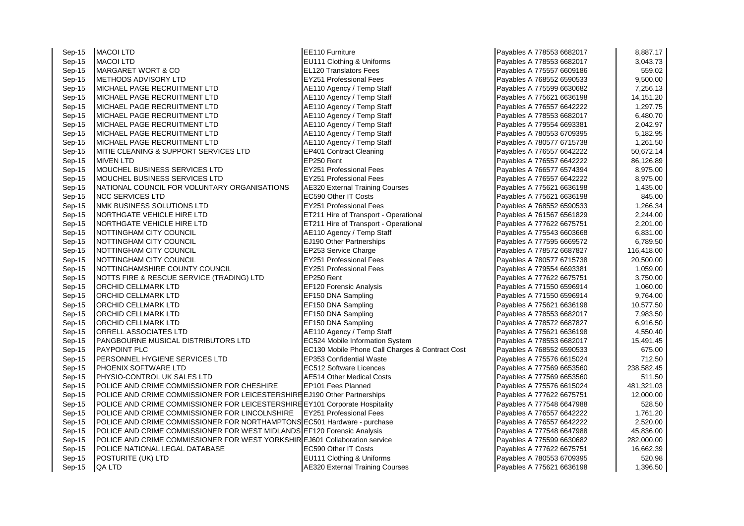Sep-15 MACOI LTD EE110 Furniture Payables A 778553 6682017 8,887.17 Sep-15 MACOI LTD 3,043.73<br>Sep-15 MARGARFT WORT & CO CONFINENTIAL CONFINITION Translators Fees Payables A 775557 6609186 559.02 Sep-15 MARGARET WORT & CO ELLI20 Translators Fees Payables A 775557 6609186 Sep-15 METHODS ADVISORY LTD **EX251 Professional Fees** Payables A 768552 6590533 9,500.00 Sep-15 MICHAEL PAGE RECRUITMENT LTD And Attach African Activity / Temp Staff Payables A 775599 6630682 7,256.13 Sep-15 MICHAEL PAGE RECRUITMENT LTD <br>Sep-15 MICHAEL PAGE RECRUITMENT LTD AE110 Agency / Temp Staff Payables A 776557 6642222 1,297.75 Sep-15 MICHAEL PAGE RECRUITMENT LTD  $\begin{array}{|c|c|c|c|c|c|}\n\hline\n\text{8e} & \text{8e} & \text{9e} & \text{1} & \text{1} & \text{1} & \text{1} & \text{1} & \text{1} & \text{1} & \text{1} & \text{1} & \text{1} & \text{1} & \text{1} & \text{1} & \text{1} & \text{1} & \text{1} & \text{1} & \text{1} & \text{1} & \text{1} & \text{1} & \text{1} & \text{1} & \text$ Sep-15 MICHAEL PAGE RECRUITMENT LTD A RESOURD AGENCY Temp Staff Agency / Temp Staff Payables A 778553 6682017 (6,480.70 Sep-15 MICHAEL PAGE RECRUITMENT LTD A RESOURD AGENCY / Temp Staff And Payables A 779554 6693381 2,042.97 Sep-15 |MICHAEL PAGE RECRUITMENT LTD  $AB = 5,182.95$  AE110 Agency / Temp Staff Payables A 780553 6709395 5,182.95 Sep-15 MICHAEL PAGE RECRUITMENT LTD A RESOURD AGENCY / Temp Staff Agency / Temp Staff Payables A 780577 6715738 1,261.50 Sep-15 MITIE CLEANING & SUPPORT SERVICES LTD EP401 Contract Cleaning Payables A 776557 6642222 50,672.14<br>Rep-15 MIVEN I TD 86.126.89 Sep-15 MIVEN LTD EP250 Rent Payables A 776557 6642222 86,126.89 Sep-15 MOUCHEL BUSINESS SERVICES LTD EX251 Professional Fees Payables A 766577 6574394 8,975.00 Sep-15 MOUCHEL BUSINESS SERVICES LTD **EXECUTES** EXECUTE RESIST A RESIST ROTES A 776557 6642222 8,975.00 Sep-15 NATIONAL COUNCIL FOR VOLUNTARY ORGANISATIONS AF320 External Training Courses Payables A 775621 6636198 1,435.00 Sep-15 NCC SERVICES LTD SAS OUT RECS90 Other IT Costs Payables A 775621 6636198 845.00 Sep-15 NMK BUSINESS SOLUTIONS LTD **EY251 Professional Fees** Payables A 768552 6590533 1,266.34<br>Sep-15 NORTHGATE VEHICLE HIRE LTD ET211 Hire of Transport - Operational Payables A 761567 6561829 2,244.00 Sep-15 NORTHGATE VEHICLE HIRE LTD ET211 Hire of Transport - Operational Payables A 761567 6561829 Sep-15 NORTHGATE VEHICLE HIRE LTD ET211 Hire of Transport - Operational Payables A 777622 6675751 2.201.00 Sep-15 NOTTINGHAM CITY COUNCIL COUNCIL ALL DESCRIPTION Agency / Temp Staff Payables A 775543 6603668 6,831.00 Sep-15 NOTTINGHAM CITY COUNCIL COUNCIL CHANGE RESERVED BY THE RESERVED BY RESERVED BY PAYABLES A 777595 6669572 Sep-15 NOTTINGHAM CITY COUNCIL COUNCIL EP253 Service Charge Payables A 778572 6687827 116,418.00<br>Sep-15 NOTTINGHAM CITY COUNCIL COUNCIL EXPENSION DESCRIPTION OF THE PAYABLES PAYABLES A 780577 6715738 20.500 Sep-15 NOTTINGHAM CITY COUNCIL COUNCIL CHARGE RESTANDING THE RESTAND RESPONSIVE PAYABLES A 780577 6715738 20,500.00 Sep-15 NOTTINGHAMSHIRE COUNTY COUNCIL EY251 Professional Fees Payables A 779554 6693381 1,059.00<br>Sep-15 NOTTS FIRE & RESCUE SERVICE (TRADING) I TD FR250 Rent Sep-15 NOTTS FIRE & RESCUE SERVICE (TRADING) LTD EP250 Rent Payables A 777622 6675751 3,750.00 Sep-15 ORCHID CELLMARK LTD **EXAMPLE EFTEL EFTEL ANALYSIS** CHOOL CONTROLLER PAYABLES A 771550 6596914 1,060.00 Sep-15 ORCHID CELLMARK LTD CREATED CONSIDENT DUST DESCRIPTION ON A Sampling CHENGE CONSIDERATION OF Payables A 771550 6596914 9,764.00<br>Sep-15 ORCHID CELLMARK LTD CONSIDERED EFT50 DNA Sampling CHENGE CONSIDERATION DESCRIPTI Sep-15 ORCHID CELLMARK LTD **EF150 DNA Sampling Payables A 775621 6636198** 10,577.50 Sep-15 ORCHID CELLMARK LTD **EXAMPLE EFTED BY SAMPLING A Sampling Payables A 778553 6682017** 1,983.50 Sep-15 ORCHID CELLMARK LTD CONSULTED REFISO DNA Sampling CHEAT CHARGE REPORTS A 778572 6687827 (1990) Sep-15 ORRELL ASSOCIATES LTD A RE110 Agency / Temp Staff Payables A 775621 6636198 4,550.40 Sep-15 PANGBOURNE MUSICAL DISTRIBUTORS LTD EC524 Mobile Information System Payables A 778553 6682017 15,491.45 Sep-15 PAYPOINT PLC **EXECUTE EXECTS** EC130 Mobile Phone Call Charges & Contract Cost Payables A 768552 6590533 675.00 Sep-15 PERSONNEL HYGIENE SERVICES LTD **EP353 Confidential Waste** Payables A 775576 6615024 712.50<br>Sep-15 PHOFNIX SOFTWARF I TD EC512 Software Licences Payables A 777569 6653560 738 582 45 Sep-15 PHOENIX SOFTWARE LTD EC512 Software Licences Payables A 777569 6653560 Sep-15 PHYSIO-CONTROL UK SALES LTD AE514 Other Medical Costs Payables A 777569 6653560 F 511.50 Sep-15 POLICE AND CRIME COMMISSIONER FOR CHESHIRE EP101 Fees Planned Payables A 775576 6615024 481,321.03 Sep-15 POLICE AND CRIME COMMISSIONER FOR LEICESTERSHIRE 1190 Other Partnerships Payables A 777622 6675751 12,000.00 Sep-15 POLICE AND CRIME COMMISSIONER FOR LEICESTERSHIRE EY101 Corporate Hospitality Payables A 777548 6647988 528.50<br>Sep-15 POLICE AND CRIME COMMISSIONER FOR LINCOLNSHIRE FY251 Professional Fees Payables A 776557 6642222 Sep-15 POLICE AND CRIME COMMISSIONER FOR LINCOLNSHIRE EY251 Professional Fees Payables A 776557 6642222 Sep-15 POLICE AND CRIME COMMISSIONER FOR NORTHAMPTONS EC501 Hardware - purchase Payables A 776557 6642222 2000 Sep-15 POLICE AND CRIME COMMISSIONER FOR WEST MIDLANDS EF120 Forensic Analysis Payables A 777548 6647988 45,836.00 Sep-15 POLICE AND CRIME COMMISSIONER FOR WEST YORKSHIRLEJ601 Collaboration service Payables A 775599 6630682 282,000.00 Sep-15 POLICE NATIONAL LEGAL DATABASE EXAMPLE ECS90 Other IT Costs Payables A 777622 6675751 16,662.39 Sep-15 POSTURITE (UK) LTD 620.98 Sep-15 QA LTD **AE320 External Training Courses** Payables A 775621 6636198 1,396.50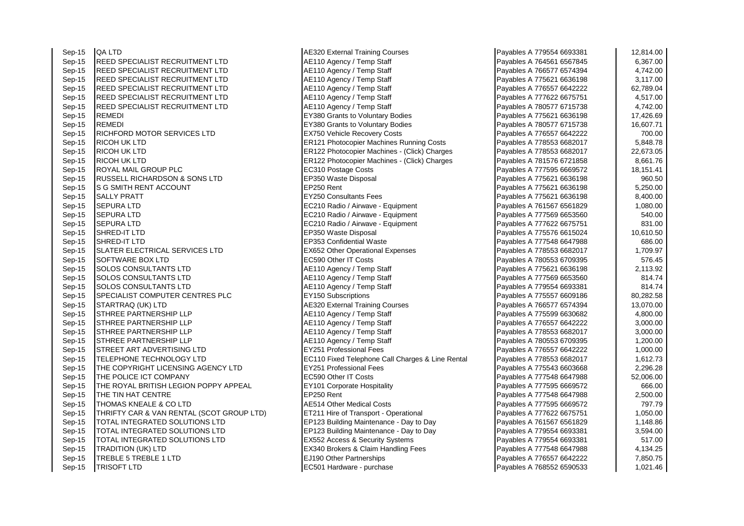Sep-15 | QA LTD <br>
Sep-15 | REED SPECIALIST RECRUITMENT LTD | AE110 Agency / Temp Staff Sep-15 REED SPECIALIST RECRUITMENT LTD **AE110 Agency / Temp Staff Payable A 7645**<br>Sep-15 REED SPECIALIST RECRUITMENT LTD **AE110 Agency / Temp Staff** Sep-15 REED SPECIALIST RECRUITMENT LTD Sep-15 REED SPECIALIST RECRUITMENT LTD Agency / Temp Staff Payables A 775621 66361 A 775621 663621 663621 6636 Sep-15 REED SPECIALIST RECRUITMENT LTD **AE110 Agency / Temp Staff Payable A 7765**<br>Sep-15 REED SPECIALIST RECRUITMENT LTD **AE110 Agency / Temp Staff** Sep-15 REED SPECIALIST RECRUITMENT LTD <br>Sep-15 REED SPECIALIST RECRUITMENT LTD AE110 Agency / Temp Staff Sep-15 REED SPECIALIST RECRUITMENT LTD<br>Sep-15 REMEDI Sep-15 REMEDI EY380 Grants to Voluntary Bodies Payables Payables Payables A 775621 66361 FY380 Grants to Voluntary Bodies Sep-15 REMEDI EX380 Grants to Voluntary Bodies Payables Payables A 780577 67157 67157 67157 67157 672.717 6715 Sep-15 RICHFORD MOTOR SERVICES LTD EX750 Vehicle Recovery Costs Sep-15 RICOH UK LTD ER121 Photocopier Machines Running Costs Payables A 778553 6682017 FR121 Photocopier Machines Running Costs Sep-15 RICOH UK LTD ER122 Photocopier Machines - (Click) Charges<br>Sep-15 RICOH UK I TD ER122 Photocopier Machines - (Click) Charges Sep-15 RICOH UK LTD ER122 Photocopier Machines - (Click) Charges <br>
Sep-15 ROYAL MAIL GROUP PLC THE 7815 FEC310 Postage Costs Sep-15 ROYAL MAIL GROUP PLC Sep-15 RUSSELL RICHARDSON & SONS LTD EP350 Waste Disposal<br>Sep-15 S G SMITH RENT ACCOUNT Sep-15 S G SMITH RENT ACCOUNT Sep-15 SALLY PRATT EXAMPLE RESERVE THE RESERVE TO A 7756 Consultants Fees Sep-15 SEPURA LTD SEPURA LTD SEPURA LTD Sep-15 Sep-15 SEPURA LTD Sep-15 SEPURA LTD SEPURA 76167 656181 666181 Sep-15 SEPURA LTD **EC210 Radio / Airwave - Equipment** Payables A 757569 665360 FEC210 Radio / Airwave - Equipment Sep-15 SEPURA LTD EC210 Radio / Airwave - Equipment Sep-15 SHRED-IT LTD EP350 Waste Disposal Payables A 775576 6615024 10,610.50 Sep-15 SHRED-IT LTD<br>
Sep-15 SLATER ELECTRICAL SERVICES LTD<br>
EX652 Other Operational E SLATER ELECTRICAL SERVICES LTD EX652 Other Operational Expenses<br>SOFTWARE BOX LTD EXPENSION RECS90 Other IT Costs Sep-15 SOFTWARE BOX LTD EC590 Other IT Costs Payables A 780553 6709395 576.45 Sep-15 SOLOS CONSULTANTS LTD AE110 Agency / Temp Staff Payables A 775621 6636198 2,113.92 Sep-15 SOLOS CONSULTANTS LTD Agency / Temp Staff Payables A 77569 6661 665360 666 Sep-15 SOLOS CONSULTANTS LTD AE110 Agency / Temp Staff Payables A 7795554 66933 Sep-15 SPECIALIST COMPUTER CENTRES PLC EY150 Subscriptions Sep-15 STARTRAQ (UK) LTD AE320 External Training Courses Sep-15 STHREE PARTNERSHIP LLP<br>
Sep-15 STHREE PARTNERSHIP I I P<br>
AE110 Agency / Temp Staff Sep-15 STHREE PARTNERSHIP LLP And America AGE110 Agency / Temp Staff Payables A 77657 6642 Sep-15 STHREE PARTNERSHIP LLP AE110 Agency / Temp Staff Payables A 778553 6682017 3,000.000.000.000.000.000.000 Sep-15 STHREE PARTNERSHIP LLP And AE110 Agency / Temp Staff Payables A 750553 1,2005 Sep-15 STREET ART ADVERTISING LTD EY251 Professional Fees Sep-15 TELEPHONE TECHNOLOGY LTD EC110 Fixed Telephone Call Charges & Line Rental<br>Sep-15 THE COPYRIGHT LICENSING AGENCY LTD EY251 Professional Fees Sep-15 **THE COPYRIGHT LICENSING AGENCY LTD** Sep-15 THE POLICE ICT COMPANY EXAMPLE RECASSED BEC590 Other IT Costs Sep-15 THE ROYAL BRITISH LEGION POPPY APPEAL **EXAMPLE REGISTS** EXTOR Corporate Hospitality Sep-15 THE TIN HAT CENTRE And The Sep-15 THE TIN HAT CENTRE A REPORT TO LATE REPORT RELATION OF PAYABLES A 777548 6647988 2,500.00 Sep-15 THOMAS KNEALE & CO LTD **AE514 Other Medical Costs** AE514 Other Medical Costs Payables A 7795 666957<br>Rep-15 THRIFTY CAR & VAN RENTAL (SCOT GROUP LTD) FT211 Hire of Transport - Operational Sep-15 **THRIFTY CAR & VAN RENTAL (SCOT GROUP LTD)** Sep-15 TOTAL INTEGRATED SOLUTIONS LTD EP123 Building Maintenance - Day to Day Sep-15 TOTAL INTEGRATED SOLUTIONS LTD EP123 Building Maintenance - Day to Day Sep-15 **TOTAL INTEGRATED SOLUTIONS LTD** EX552 Access & Security Systems Sep-15 TRADITION (UK) LTD EX340 Brokers & Claim Handling Fees Sep-15 TREBLE 5 TREBLE 1 LTD EJ190 Other Partnerships Sep-15 TRISOFT LTD EC501 Hardware - purchase Payables A 768552 6590533 1,021.476

| Payables A 779554 6693381 | 12,814.00 |
|---------------------------|-----------|
| Payables A 764561 6567845 | 6,367.00  |
| Payables A 766577 6574394 | 4,742.00  |
| Payables A 775621 6636198 | 3,117.00  |
| Payables A 776557 6642222 | 62,789.04 |
| Payables A 777622 6675751 | 4,517.00  |
| Payables A 780577 6715738 | 4,742.00  |
| Payables A 775621 6636198 | 17,426.69 |
| Payables A 780577 6715738 | 16,607.71 |
| Payables A 776557 6642222 | 700.00    |
| Payables A 778553 6682017 | 5,848.78  |
| Payables A 778553 6682017 | 22,673.05 |
| Payables A 781576 6721858 | 8,661.76  |
| Payables A 777595 6669572 | 18,151.41 |
| Payables A 775621 6636198 | 960.50    |
| Payables A 775621 6636198 | 5,250.00  |
| Payables A 775621 6636198 | 8,400.00  |
| Payables A 761567 6561829 | 1,080.00  |
| Payables A 777569 6653560 | 540.00    |
| Payables A 777622 6675751 | 831.00    |
| Payables A 775576 6615024 | 10,610.50 |
| Payables A 777548 6647988 | 686.00    |
| Payables A 778553 6682017 | 1,709.97  |
| Payables A 780553 6709395 | 576.45    |
| Payables A 775621 6636198 | 2,113.92  |
| Payables A 777569 6653560 | 814.74    |
| Payables A 779554 6693381 | 814.74    |
| Payables A 775557 6609186 | 80,282.58 |
| Payables A 766577 6574394 | 13,070.00 |
| Payables A 775599 6630682 | 4,800.00  |
| Payables A 776557 6642222 | 3,000.00  |
| Payables A 778553 6682017 | 3,000.00  |
| Payables A 780553 6709395 | 1,200.00  |
| Payables A 776557 6642222 | 1,000.00  |
| Payables A 778553 6682017 | 1,612.73  |
| Payables A 775543 6603668 | 2,296.28  |
| Payables A 777548 6647988 | 52,006.00 |
| Payables A 777595 6669572 | 666.00    |
| Payables A 777548 6647988 | 2,500.00  |
| Payables A 777595 6669572 | 797.79    |
| Payables A 777622 6675751 | 1,050.00  |
| Payables A 761567 6561829 | 1,148.86  |
| Payables A 779554 6693381 | 3,594.00  |
| Payables A 779554 6693381 | 517.00    |
| Payables A 777548 6647988 | 4,134.25  |
| Payables A 776557 6642222 | 7,850.75  |
| Pavables A 768552 6590533 | 1.021.46  |